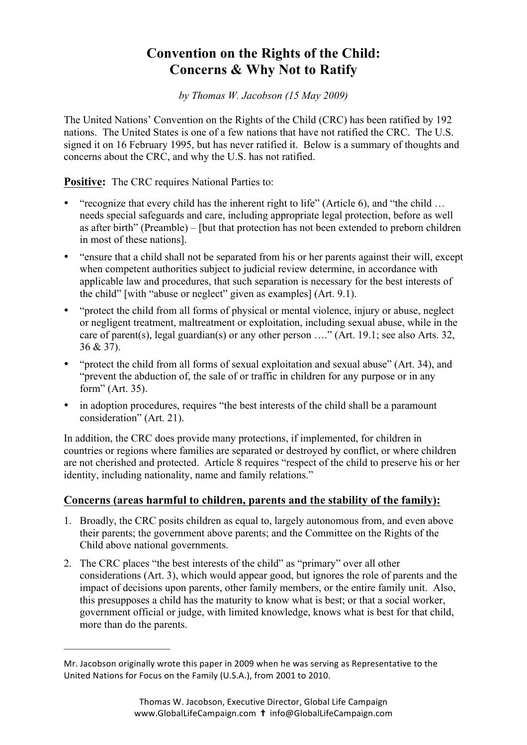## **Convention on the Rights of the Child: Concerns & Why Not to Ratify**

*by Thomas W. Jacobson (15 May 2009)* 

The United Nations' Convention on the Rights of the Child (CRC) has been ratified by 192 nations. The United States is one of a few nations that have not ratified the CRC. The U.S. signed it on 16 February 1995, but has never ratified it. Below is a summary of thoughts and concerns about the CRC, and why the U.S. has not ratified.

**Positive:** The CRC requires National Parties to:

- "recognize that every child has the inherent right to life" (Article 6), and "the child ... needs special safeguards and care, including appropriate legal protection, before as well as after birth" (Preamble) – [but that protection has not been extended to preborn children in most of these nations].
- "ensure that a child shall not be separated from his or her parents against their will, except when competent authorities subject to judicial review determine, in accordance with applicable law and procedures, that such separation is necessary for the best interests of the child" [with "abuse or neglect" given as examples] (Art. 9.1).
- "protect the child from all forms of physical or mental violence, injury or abuse, neglect or negligent treatment, maltreatment or exploitation, including sexual abuse, while in the care of parent(s), legal guardian(s) or any other person …." (Art. 19.1; see also Arts. 32, 36 & 37).
- "protect the child from all forms of sexual exploitation and sexual abuse" (Art. 34), and "prevent the abduction of, the sale of or traffic in children for any purpose or in any form" (Art. 35).
- in adoption procedures, requires "the best interests of the child shall be a paramount consideration" (Art. 21).

In addition, the CRC does provide many protections, if implemented, for children in countries or regions where families are separated or destroyed by conflict, or where children are not cherished and protected. Article 8 requires "respect of the child to preserve his or her identity, including nationality, name and family relations."

## **Concerns (areas harmful to children, parents and the stability of the family):**

- 1. Broadly, the CRC posits children as equal to, largely autonomous from, and even above their parents; the government above parents; and the Committee on the Rights of the Child above national governments.
- 2. The CRC places "the best interests of the child" as "primary" over all other considerations (Art. 3), which would appear good, but ignores the role of parents and the impact of decisions upon parents, other family members, or the entire family unit. Also, this presupposes a child has the maturity to know what is best; or that a social worker, government official or judge, with limited knowledge, knows what is best for that child, more than do the parents.

 $\mathcal{L}_\text{max}$  , where  $\mathcal{L}_\text{max}$  , we have the set of the set of the set of the set of the set of the set of the set of the set of the set of the set of the set of the set of the set of the set of the set of the set of

Mr. Jacobson originally wrote this paper in 2009 when he was serving as Representative to the United Nations for Focus on the Family (U.S.A.), from 2001 to 2010.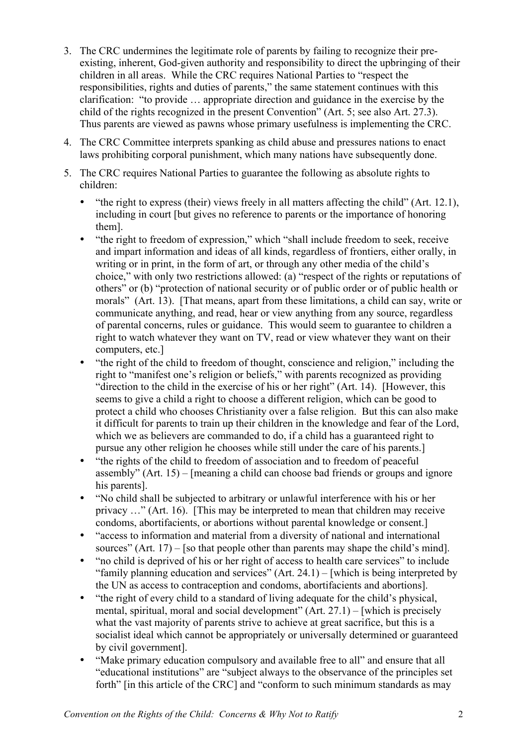- 3. The CRC undermines the legitimate role of parents by failing to recognize their preexisting, inherent, God-given authority and responsibility to direct the upbringing of their children in all areas. While the CRC requires National Parties to "respect the responsibilities, rights and duties of parents," the same statement continues with this clarification: "to provide … appropriate direction and guidance in the exercise by the child of the rights recognized in the present Convention" (Art. 5; see also Art. 27.3). Thus parents are viewed as pawns whose primary usefulness is implementing the CRC.
- 4. The CRC Committee interprets spanking as child abuse and pressures nations to enact laws prohibiting corporal punishment, which many nations have subsequently done.
- 5. The CRC requires National Parties to guarantee the following as absolute rights to children:
	- "the right to express (their) views freely in all matters affecting the child" (Art. 12.1), including in court [but gives no reference to parents or the importance of honoring them].
	- "the right to freedom of expression," which "shall include freedom to seek, receive and impart information and ideas of all kinds, regardless of frontiers, either orally, in writing or in print, in the form of art, or through any other media of the child's choice," with only two restrictions allowed: (a) "respect of the rights or reputations of others" or (b) "protection of national security or of public order or of public health or morals" (Art. 13). [That means, apart from these limitations, a child can say, write or communicate anything, and read, hear or view anything from any source, regardless of parental concerns, rules or guidance. This would seem to guarantee to children a right to watch whatever they want on TV, read or view whatever they want on their computers, etc.]
	- "the right of the child to freedom of thought, conscience and religion," including the right to "manifest one's religion or beliefs," with parents recognized as providing "direction to the child in the exercise of his or her right" (Art. 14). [However, this seems to give a child a right to choose a different religion, which can be good to protect a child who chooses Christianity over a false religion. But this can also make it difficult for parents to train up their children in the knowledge and fear of the Lord, which we as believers are commanded to do, if a child has a guaranteed right to pursue any other religion he chooses while still under the care of his parents.]
	- "the rights of the child to freedom of association and to freedom of peaceful assembly" (Art. 15) – [meaning a child can choose bad friends or groups and ignore his parents].
	- "No child shall be subjected to arbitrary or unlawful interference with his or her privacy …" (Art. 16). [This may be interpreted to mean that children may receive condoms, abortifacients, or abortions without parental knowledge or consent.]
	- "access to information and material from a diversity of national and international sources" (Art. 17) – [so that people other than parents may shape the child's mind].
	- "no child is deprived of his or her right of access to health care services" to include "family planning education and services" (Art. 24.1) – [which is being interpreted by the UN as access to contraception and condoms, abortifacients and abortions].
	- "the right of every child to a standard of living adequate for the child's physical. mental, spiritual, moral and social development"  $(Art. 27.1)$  – [which is precisely what the vast majority of parents strive to achieve at great sacrifice, but this is a socialist ideal which cannot be appropriately or universally determined or guaranteed by civil government].
	- "Make primary education compulsory and available free to all" and ensure that all "educational institutions" are "subject always to the observance of the principles set forth" [in this article of the CRC] and "conform to such minimum standards as may